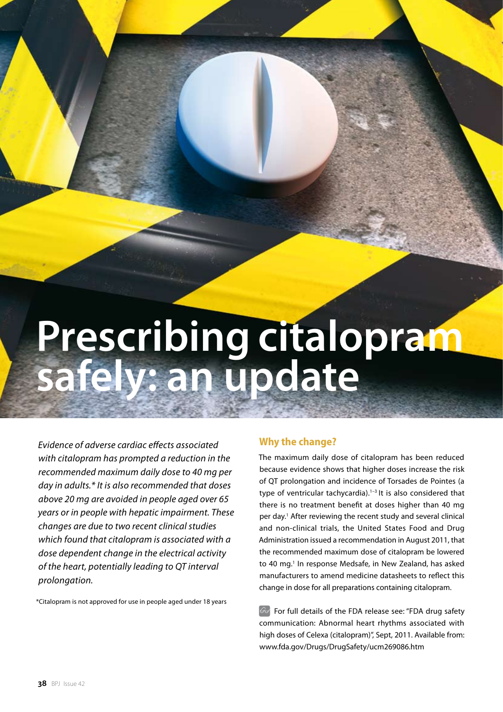# **Prescribing citalopram safely: an update**

*Evidence of adverse cardiac effects associated with citalopram has prompted a reduction in the recommended maximum daily dose to 40 mg per day in adults.\* It is also recommended that doses above 20 mg are avoided in people aged over 65 years or in people with hepatic impairment. These changes are due to two recent clinical studies which found that citalopram is associated with a dose dependent change in the electrical activity of the heart, potentially leading to QT interval prolongation.* 

\*Citalopram is not approved for use in people aged under 18 years

#### **Why the change?**

The maximum daily dose of citalopram has been reduced because evidence shows that higher doses increase the risk of QT prolongation and incidence of Torsades de Pointes (a type of ventricular tachycardia).<sup>1-3</sup> It is also considered that there is no treatment benefit at doses higher than 40 mg per day.<sup>1</sup> After reviewing the recent study and several clinical and non-clinical trials, the United States Food and Drug Administration issued a recommendation in August 2011, that the recommended maximum dose of citalopram be lowered to 40 mg.<sup>1</sup> In response Medsafe, in New Zealand, has asked manufacturers to amend medicine datasheets to reflect this change in dose for all preparations containing citalopram.

For full details of the FDA release see: "FDA drug safety communication: Abnormal heart rhythms associated with high doses of Celexa (citalopram)", Sept, 2011. Available from: www.fda.gov/Drugs/DrugSafety/ucm269086.htm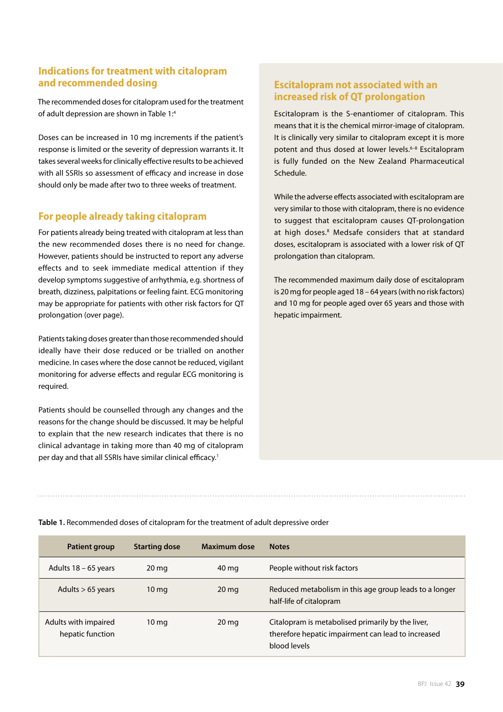### **Indications for treatment with citalopram and recommended dosing**

The recommended doses for citalopram used for the treatment of adult depression are shown in Table 1:4

Doses can be increased in 10 mg increments if the patient's response is limited or the severity of depression warrants it. It takes several weeks for clinically effective results to be achieved with all SSRIs so assessment of efficacy and increase in dose should only be made after two to three weeks of treatment.

#### **For people already taking citalopram**

For patients already being treated with citalopram at less than the new recommended doses there is no need for change. However, patients should be instructed to report any adverse effects and to seek immediate medical attention if they develop symptoms suggestive of arrhythmia, e.g. shortness of breath, dizziness, palpitations or feeling faint. ECG monitoring may be appropriate for patients with other risk factors for QT prolongation (over page).

Patients taking doses greater than those recommended should ideally have their dose reduced or be trialled on another medicine. In cases where the dose cannot be reduced, vigilant monitoring for adverse effects and regular ECG monitoring is required.

Patients should be counselled through any changes and the reasons for the change should be discussed. It may be helpful to explain that the new research indicates that there is no clinical advantage in taking more than 40 mg of citalopram per day and that all SSRIs have similar clinical efficacy.<sup>1</sup>

#### **Escitalopram not associated with an increased risk of QT prolongation**

Escitalopram is the S-enantiomer of citalopram. This means that it is the chemical mirror-image of citalopram. It is clinically very similar to citalopram except it is more potent and thus dosed at lower levels.<sup>6-8</sup> Escitalopram is fully funded on the New Zealand Pharmaceutical Schedule.

While the adverse effects associated with escitalopram are very similar to those with citalopram, there is no evidence to suggest that escitalopram causes QT-prolongation at high doses.<sup>8</sup> Medsafe considers that at standard doses, escitalopram is associated with a lower risk of QT prolongation than citalopram.

The recommended maximum daily dose of escitalopram is 20 mg for people aged 18 – 64 years (with no risk factors) and 10 mg for people aged over 65 years and those with hepatic impairment.

**Table 1.** Recommended doses of citalopram for the treatment of adult depressive order

| Patient group                            | <b>Starting dose</b> | <b>Maximum dose</b> | <b>Notes</b>                                                                                                            |
|------------------------------------------|----------------------|---------------------|-------------------------------------------------------------------------------------------------------------------------|
| Adults $18 - 65$ years                   | $20 \,\mathrm{mg}$   | 40 mg               | People without risk factors                                                                                             |
| Adults $> 65$ years                      | $10 \,\mathrm{mg}$   | 20 <sub>mg</sub>    | Reduced metabolism in this age group leads to a longer<br>half-life of citalopram                                       |
| Adults with impaired<br>hepatic function | $10 \,\mathrm{mg}$   | 20 <sub>mg</sub>    | Citalopram is metabolised primarily by the liver,<br>therefore hepatic impairment can lead to increased<br>blood levels |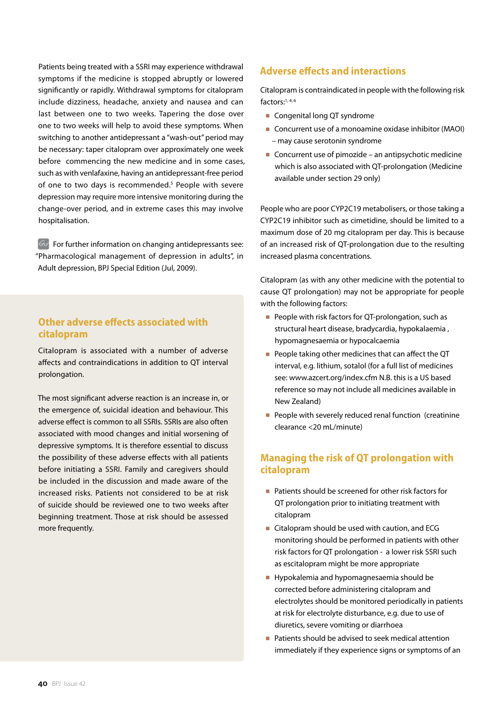Patients being treated with a SSRI may experience withdrawal symptoms if the medicine is stopped abruptly or lowered significantly or rapidly. Withdrawal symptoms for citalopram include dizziness, headache, anxiety and nausea and can last between one to two weeks. Tapering the dose over one to two weeks will help to avoid these symptoms. When switching to another antidepressant a "wash-out" period may be necessary: taper citalopram over approximately one week before commencing the new medicine and in some cases, such as with venlafaxine, having an antidepressant-free period of one to two days is recommended.<sup>5</sup> People with severe depression may require more intensive monitoring during the change-over period, and in extreme cases this may involve hospitalisation.

 $\overline{\mathcal{F}}$  For further information on changing antidepressants see: "Pharmacological management of depression in adults", in Adult depression, BPJ Special Edition (Jul, 2009).

#### **Other adverse effects associated with citalopram**

Citalopram is associated with a number of adverse affects and contraindications in addition to QT interval prolongation.

The most significant adverse reaction is an increase in, or the emergence of, suicidal ideation and behaviour. This adverse effect is common to all SSRIs. SSRIs are also often associated with mood changes and initial worsening of depressive symptoms. It is therefore essential to discuss the possibility of these adverse effects with all patients before initiating a SSRI. Family and caregivers should be included in the discussion and made aware of the increased risks. Patients not considered to be at risk of suicide should be reviewed one to two weeks after beginning treatment. Those at risk should be assessed more frequently.

#### **Adverse effects and interactions**

Citalopram is contraindicated in people with the following risk factors:1, 4, 6

- **Congenital long QT syndrome**
- Concurrent use of a monoamine oxidase inhibitor (MAOI) – may cause serotonin syndrome
- Concurrent use of pimozide an antipsychotic medicine which is also associated with QT-prolongation (Medicine available under section 29 only)

People who are poor CYP2C19 metabolisers, or those taking a CYP2C19 inhibitor such as cimetidine, should be limited to a maximum dose of 20 mg citalopram per day. This is because of an increased risk of QT-prolongation due to the resulting increased plasma concentrations.

Citalopram (as with any other medicine with the potential to cause QT prolongation) may not be appropriate for people with the following factors:

- **People with risk factors for QT-prolongation, such as** structural heart disease, bradycardia, hypokalaemia , hypomagnesaemia or hypocalcaemia
- People taking other medicines that can affect the QT interval, e.g. lithium, sotalol (for a full list of medicines see: www.azcert.org/index.cfm N.B. this is a US based reference so may not include all medicines available in New Zealand)
- **People with severely reduced renal function (creatinine** clearance <20 mL/minute)

#### **Managing the risk of QT prolongation with citalopram**

- Patients should be screened for other risk factors for QT prolongation prior to initiating treatment with citalopram
- **Citalopram should be used with caution, and ECG** monitoring should be performed in patients with other risk factors for QT prolongation - a lower risk SSRI such as escitalopram might be more appropriate
- Hypokalemia and hypomagnesaemia should be corrected before administering citalopram and electrolytes should be monitored periodically in patients at risk for electrolyte disturbance, e.g. due to use of diuretics, severe vomiting or diarrhoea
- Patients should be advised to seek medical attention immediately if they experience signs or symptoms of an